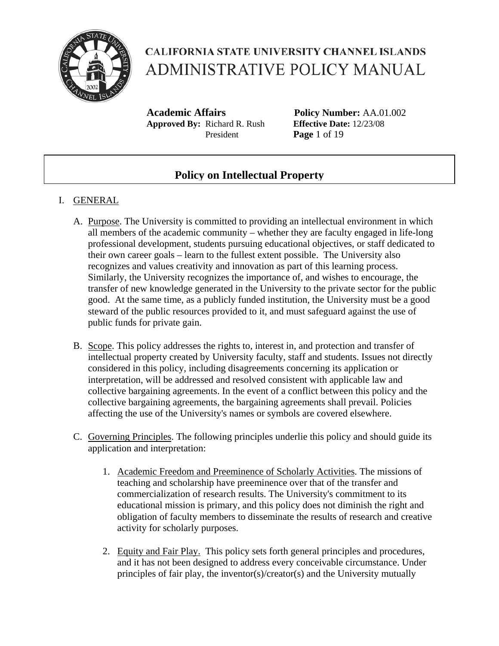

**Academic Affairs Policy Number:** AA.01.002 **Approved By:** Richard R. Rush **Effective Date:** 12/23/08 President **Page** 1 of 19

### **Policy on Intellectual Property**

#### I. GENERAL

- A. Purpose. The University is committed to providing an intellectual environment in which all members of the academic community – whether they are faculty engaged in life-long professional development, students pursuing educational objectives, or staff dedicated to their own career goals – learn to the fullest extent possible. The University also recognizes and values creativity and innovation as part of this learning process. Similarly, the University recognizes the importance of, and wishes to encourage, the transfer of new knowledge generated in the University to the private sector for the public good. At the same time, as a publicly funded institution, the University must be a good steward of the public resources provided to it, and must safeguard against the use of public funds for private gain.
- B. Scope. This policy addresses the rights to, interest in, and protection and transfer of intellectual property created by University faculty, staff and students. Issues not directly considered in this policy, including disagreements concerning its application or interpretation, will be addressed and resolved consistent with applicable law and collective bargaining agreements. In the event of a conflict between this policy and the collective bargaining agreements, the bargaining agreements shall prevail. Policies affecting the use of the University's names or symbols are covered elsewhere.
- C. Governing Principles. The following principles underlie this policy and should guide its application and interpretation:
	- 1. Academic Freedom and Preeminence of Scholarly Activities. The missions of teaching and scholarship have preeminence over that of the transfer and commercialization of research results. The University's commitment to its educational mission is primary, and this policy does not diminish the right and obligation of faculty members to disseminate the results of research and creative activity for scholarly purposes.
	- 2. Equity and Fair Play. This policy sets forth general principles and procedures, and it has not been designed to address every conceivable circumstance. Under principles of fair play, the inventor(s)/creator(s) and the University mutually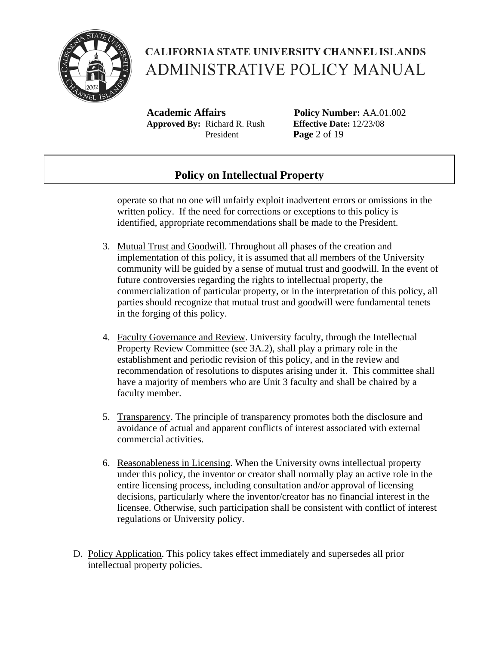

**Academic Affairs Policy Number:** AA.01.002 **Approved By:** Richard R. Rush **Effective Date:** 12/23/08 President **Page** 2 of 19

### **Policy on Intellectual Property**

operate so that no one will unfairly exploit inadvertent errors or omissions in the written policy. If the need for corrections or exceptions to this policy is identified, appropriate recommendations shall be made to the President.

- 3. Mutual Trust and Goodwill. Throughout all phases of the creation and implementation of this policy, it is assumed that all members of the University community will be guided by a sense of mutual trust and goodwill. In the event of future controversies regarding the rights to intellectual property, the commercialization of particular property, or in the interpretation of this policy, all parties should recognize that mutual trust and goodwill were fundamental tenets in the forging of this policy.
- 4. Faculty Governance and Review. University faculty, through the Intellectual Property Review Committee (see 3A.2), shall play a primary role in the establishment and periodic revision of this policy, and in the review and recommendation of resolutions to disputes arising under it. This committee shall have a majority of members who are Unit 3 faculty and shall be chaired by a faculty member.
- 5. Transparency. The principle of transparency promotes both the disclosure and avoidance of actual and apparent conflicts of interest associated with external commercial activities.
- 6. Reasonableness in Licensing. When the University owns intellectual property under this policy, the inventor or creator shall normally play an active role in the entire licensing process, including consultation and/or approval of licensing decisions, particularly where the inventor/creator has no financial interest in the licensee. Otherwise, such participation shall be consistent with conflict of interest regulations or University policy.
- D. Policy Application. This policy takes effect immediately and supersedes all prior intellectual property policies.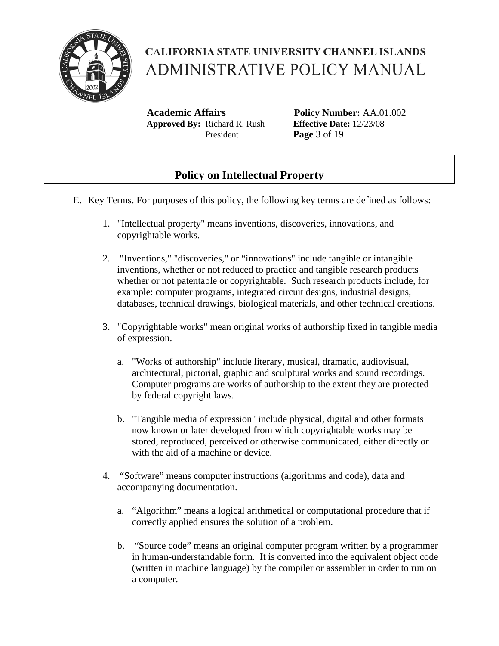

**Academic Affairs Policy Number:** AA.01.002 **Approved By:** Richard R. Rush **Effective Date:** 12/23/08 President **Page** 3 of 19

### **Policy on Intellectual Property**

- E. Key Terms. For purposes of this policy, the following key terms are defined as follows:
	- 1. "Intellectual property" means inventions, discoveries, innovations, and copyrightable works.
	- 2. "Inventions," "discoveries," or "innovations" include tangible or intangible inventions, whether or not reduced to practice and tangible research products whether or not patentable or copyrightable. Such research products include, for example: computer programs, integrated circuit designs, industrial designs, databases, technical drawings, biological materials, and other technical creations.
	- 3. "Copyrightable works" mean original works of authorship fixed in tangible media of expression.
		- a. "Works of authorship" include literary, musical, dramatic, audiovisual, architectural, pictorial, graphic and sculptural works and sound recordings. Computer programs are works of authorship to the extent they are protected by federal copyright laws.
		- b. "Tangible media of expression" include physical, digital and other formats now known or later developed from which copyrightable works may be stored, reproduced, perceived or otherwise communicated, either directly or with the aid of a machine or device.
	- 4. "Software" means computer instructions (algorithms and code), data and accompanying documentation.
		- a. "Algorithm" means a logical arithmetical or computational procedure that if correctly applied ensures the solution of a problem.
		- b. "Source code" means an original computer program written by a programmer in human-understandable form. It is converted into the equivalent object code (written in machine language) by the compiler or assembler in order to run on a computer.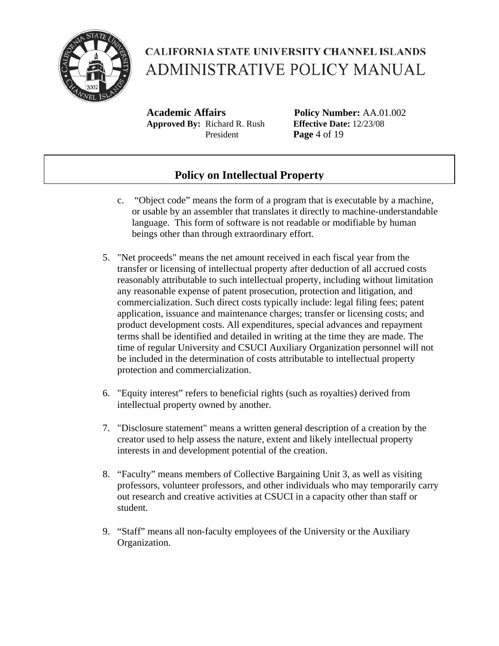

**Academic Affairs Policy Number:** AA.01.002 **Approved By:** Richard R. Rush **Effective Date:** 12/23/08 President **Page** 4 of 19

### **Policy on Intellectual Property**

- c. "Object code" means the form of a program that is executable by a machine, or usable by an assembler that translates it directly to machine-understandable language. This form of software is not readable or modifiable by human beings other than through extraordinary effort.
- 5. "Net proceeds" means the net amount received in each fiscal year from the transfer or licensing of intellectual property after deduction of all accrued costs reasonably attributable to such intellectual property, including without limitation any reasonable expense of patent prosecution, protection and litigation, and commercialization. Such direct costs typically include: legal filing fees; patent application, issuance and maintenance charges; transfer or licensing costs; and product development costs. All expenditures, special advances and repayment terms shall be identified and detailed in writing at the time they are made. The time of regular University and CSUCI Auxiliary Organization personnel will not be included in the determination of costs attributable to intellectual property protection and commercialization.
- 6. "Equity interest" refers to beneficial rights (such as royalties) derived from intellectual property owned by another.
- 7. "Disclosure statement" means a written general description of a creation by the creator used to help assess the nature, extent and likely intellectual property interests in and development potential of the creation.
- 8. "Faculty" means members of Collective Bargaining Unit 3, as well as visiting professors, volunteer professors, and other individuals who may temporarily carry out research and creative activities at CSUCI in a capacity other than staff or student.
- 9. "Staff" means all non-faculty employees of the University or the Auxiliary Organization.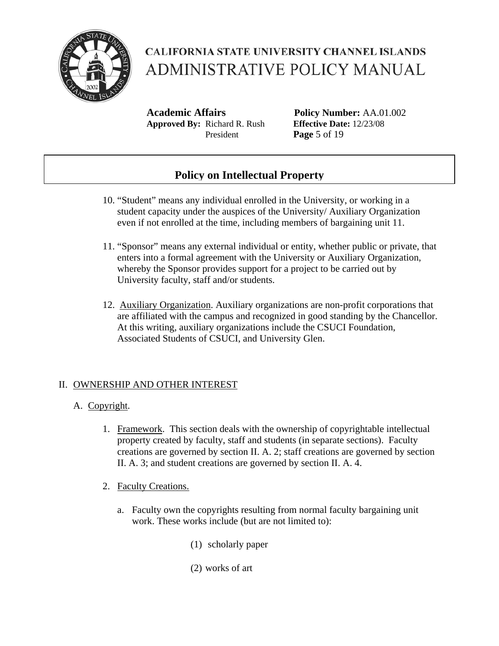

**Academic Affairs Policy Number:** AA.01.002 **Approved By:** Richard R. Rush **Effective Date:** 12/23/08 President **Page** 5 of 19

### **Policy on Intellectual Property**

- 10. "Student" means any individual enrolled in the University, or working in a student capacity under the auspices of the University/ Auxiliary Organization even if not enrolled at the time, including members of bargaining unit 11.
- 11. "Sponsor" means any external individual or entity, whether public or private, that enters into a formal agreement with the University or Auxiliary Organization, whereby the Sponsor provides support for a project to be carried out by University faculty, staff and/or students.
- 12. Auxiliary Organization. Auxiliary organizations are non-profit corporations that are affiliated with the campus and recognized in good standing by the Chancellor. At this writing, auxiliary organizations include the CSUCI Foundation, Associated Students of CSUCI, and University Glen.

#### II. OWNERSHIP AND OTHER INTEREST

- A. Copyright.
	- 1. Framework. This section deals with the ownership of copyrightable intellectual property created by faculty, staff and students (in separate sections). Faculty creations are governed by section II. A. 2; staff creations are governed by section II. A. 3; and student creations are governed by section II. A. 4.
	- 2. Faculty Creations.
		- a. Faculty own the copyrights resulting from normal faculty bargaining unit work. These works include (but are not limited to):
			- (1) scholarly paper
			- (2) works of art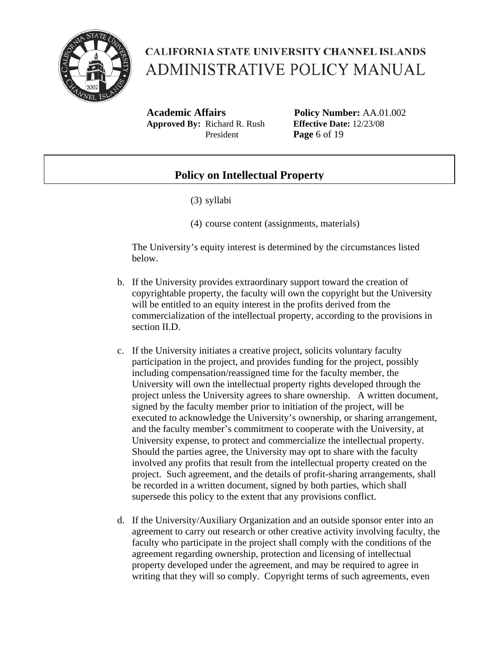

**Academic Affairs Policy Number:** AA.01.002 **Approved By:** Richard R. Rush **Effective Date:** 12/23/08 President **Page** 6 of 19

#### **Policy on Intellectual Property**

- (3) syllabi
- (4) course content (assignments, materials)

The University's equity interest is determined by the circumstances listed below.

- b. If the University provides extraordinary support toward the creation of copyrightable property, the faculty will own the copyright but the University will be entitled to an equity interest in the profits derived from the commercialization of the intellectual property, according to the provisions in section II.D.
- c. If the University initiates a creative project, solicits voluntary faculty participation in the project, and provides funding for the project, possibly including compensation/reassigned time for the faculty member, the University will own the intellectual property rights developed through the project unless the University agrees to share ownership. A written document, signed by the faculty member prior to initiation of the project, will be executed to acknowledge the University's ownership, or sharing arrangement, and the faculty member's commitment to cooperate with the University, at University expense, to protect and commercialize the intellectual property. Should the parties agree, the University may opt to share with the faculty involved any profits that result from the intellectual property created on the project. Such agreement, and the details of profit-sharing arrangements, shall be recorded in a written document, signed by both parties, which shall supersede this policy to the extent that any provisions conflict.
- d. If the University/Auxiliary Organization and an outside sponsor enter into an agreement to carry out research or other creative activity involving faculty, the faculty who participate in the project shall comply with the conditions of the agreement regarding ownership, protection and licensing of intellectual property developed under the agreement, and may be required to agree in writing that they will so comply. Copyright terms of such agreements, even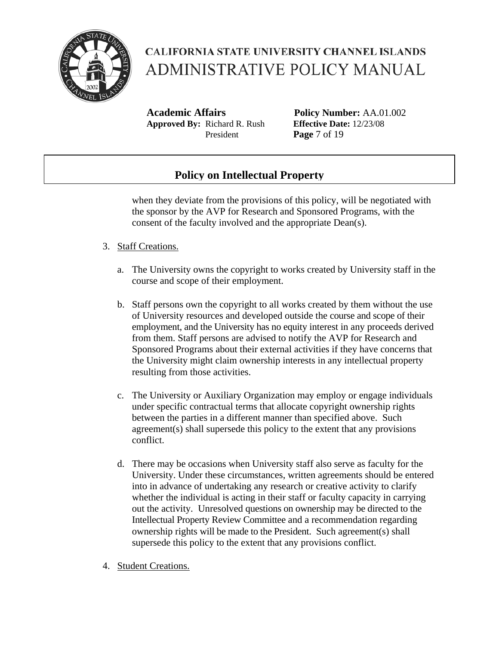

**Academic Affairs Policy Number:** AA.01.002 **Approved By:** Richard R. Rush **Effective Date:** 12/23/08 President **Page** 7 of 19

### **Policy on Intellectual Property**

when they deviate from the provisions of this policy, will be negotiated with the sponsor by the AVP for Research and Sponsored Programs, with the consent of the faculty involved and the appropriate Dean(s).

#### 3. Staff Creations.

- a. The University owns the copyright to works created by University staff in the course and scope of their employment.
- b. Staff persons own the copyright to all works created by them without the use of University resources and developed outside the course and scope of their employment, and the University has no equity interest in any proceeds derived from them. Staff persons are advised to notify the AVP for Research and Sponsored Programs about their external activities if they have concerns that the University might claim ownership interests in any intellectual property resulting from those activities.
- c. The University or Auxiliary Organization may employ or engage individuals under specific contractual terms that allocate copyright ownership rights between the parties in a different manner than specified above. Such agreement(s) shall supersede this policy to the extent that any provisions conflict.
- d. There may be occasions when University staff also serve as faculty for the University. Under these circumstances, written agreements should be entered into in advance of undertaking any research or creative activity to clarify whether the individual is acting in their staff or faculty capacity in carrying out the activity. Unresolved questions on ownership may be directed to the Intellectual Property Review Committee and a recommendation regarding ownership rights will be made to the President. Such agreement(s) shall supersede this policy to the extent that any provisions conflict.
- 4. Student Creations.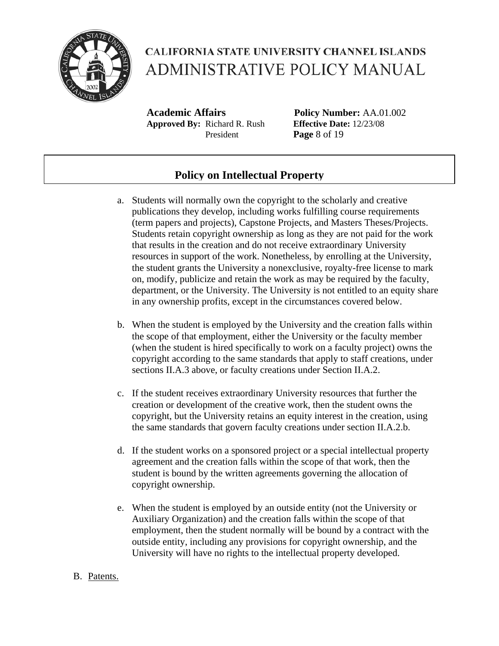

**Academic Affairs Policy Number:** AA.01.002 **Approved By:** Richard R. Rush **Effective Date:** 12/23/08 President **Page** 8 of 19

### **Policy on Intellectual Property**

- a. Students will normally own the copyright to the scholarly and creative publications they develop, including works fulfilling course requirements (term papers and projects), Capstone Projects, and Masters Theses/Projects. Students retain copyright ownership as long as they are not paid for the work that results in the creation and do not receive extraordinary University resources in support of the work. Nonetheless, by enrolling at the University, the student grants the University a nonexclusive, royalty-free license to mark on, modify, publicize and retain the work as may be required by the faculty, department, or the University. The University is not entitled to an equity share in any ownership profits, except in the circumstances covered below.
- b. When the student is employed by the University and the creation falls within the scope of that employment, either the University or the faculty member (when the student is hired specifically to work on a faculty project) owns the copyright according to the same standards that apply to staff creations, under sections II.A.3 above, or faculty creations under Section II.A.2.
- c. If the student receives extraordinary University resources that further the creation or development of the creative work, then the student owns the copyright, but the University retains an equity interest in the creation, using the same standards that govern faculty creations under section II.A.2.b.
- d. If the student works on a sponsored project or a special intellectual property agreement and the creation falls within the scope of that work, then the student is bound by the written agreements governing the allocation of copyright ownership.
- e. When the student is employed by an outside entity (not the University or Auxiliary Organization) and the creation falls within the scope of that employment, then the student normally will be bound by a contract with the outside entity, including any provisions for copyright ownership, and the University will have no rights to the intellectual property developed.

#### B. Patents.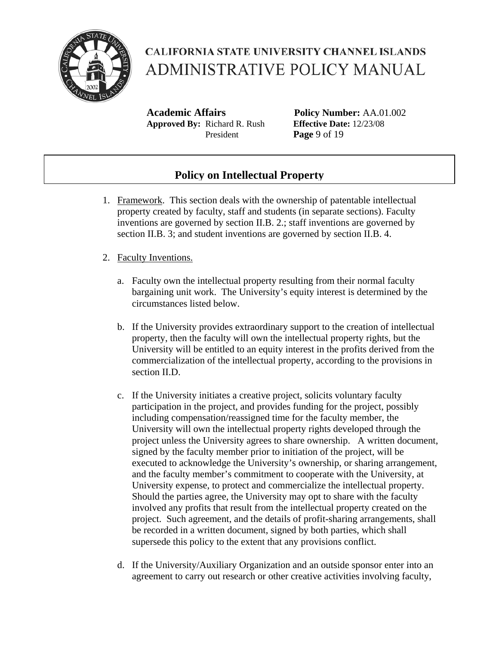

**Academic Affairs Policy Number:** AA.01.002 **Approved By:** Richard R. Rush **Effective Date:** 12/23/08 President **Page** 9 of 19

### **Policy on Intellectual Property**

- 1. Framework. This section deals with the ownership of patentable intellectual property created by faculty, staff and students (in separate sections). Faculty inventions are governed by section II.B. 2.; staff inventions are governed by section II.B. 3; and student inventions are governed by section II.B. 4.
- 2. Faculty Inventions.
	- a. Faculty own the intellectual property resulting from their normal faculty bargaining unit work. The University's equity interest is determined by the circumstances listed below.
	- b. If the University provides extraordinary support to the creation of intellectual property, then the faculty will own the intellectual property rights, but the University will be entitled to an equity interest in the profits derived from the commercialization of the intellectual property, according to the provisions in section II.D.
	- c. If the University initiates a creative project, solicits voluntary faculty participation in the project, and provides funding for the project, possibly including compensation/reassigned time for the faculty member, the University will own the intellectual property rights developed through the project unless the University agrees to share ownership. A written document, signed by the faculty member prior to initiation of the project, will be executed to acknowledge the University's ownership, or sharing arrangement, and the faculty member's commitment to cooperate with the University, at University expense, to protect and commercialize the intellectual property. Should the parties agree, the University may opt to share with the faculty involved any profits that result from the intellectual property created on the project. Such agreement, and the details of profit-sharing arrangements, shall be recorded in a written document, signed by both parties, which shall supersede this policy to the extent that any provisions conflict.
	- d. If the University/Auxiliary Organization and an outside sponsor enter into an agreement to carry out research or other creative activities involving faculty,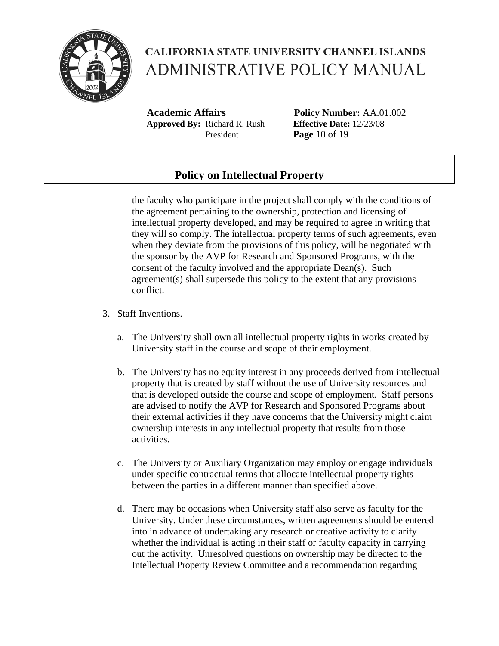

**Academic Affairs Policy Number:** AA.01.002 **Approved By:** Richard R. Rush **Effective Date:** 12/23/08 President **Page** 10 of 19

### **Policy on Intellectual Property**

the faculty who participate in the project shall comply with the conditions of the agreement pertaining to the ownership, protection and licensing of intellectual property developed, and may be required to agree in writing that they will so comply. The intellectual property terms of such agreements, even when they deviate from the provisions of this policy, will be negotiated with the sponsor by the AVP for Research and Sponsored Programs, with the consent of the faculty involved and the appropriate Dean(s). Such agreement(s) shall supersede this policy to the extent that any provisions conflict.

#### 3. Staff Inventions.

- a. The University shall own all intellectual property rights in works created by University staff in the course and scope of their employment.
- b. The University has no equity interest in any proceeds derived from intellectual property that is created by staff without the use of University resources and that is developed outside the course and scope of employment. Staff persons are advised to notify the AVP for Research and Sponsored Programs about their external activities if they have concerns that the University might claim ownership interests in any intellectual property that results from those activities.
- c. The University or Auxiliary Organization may employ or engage individuals under specific contractual terms that allocate intellectual property rights between the parties in a different manner than specified above.
- d. There may be occasions when University staff also serve as faculty for the University. Under these circumstances, written agreements should be entered into in advance of undertaking any research or creative activity to clarify whether the individual is acting in their staff or faculty capacity in carrying out the activity. Unresolved questions on ownership may be directed to the Intellectual Property Review Committee and a recommendation regarding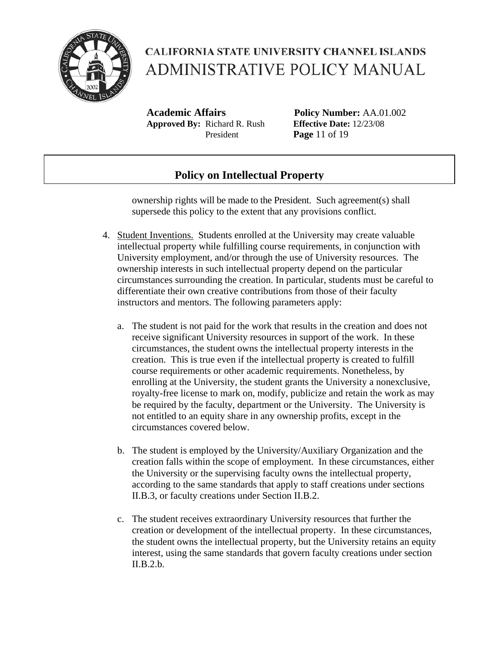

**Academic Affairs Policy Number:** AA.01.002 **Approved By:** Richard R. Rush **Effective Date:** 12/23/08 President **Page** 11 of 19

### **Policy on Intellectual Property**

ownership rights will be made to the President. Such agreement(s) shall supersede this policy to the extent that any provisions conflict.

- 4. Student Inventions. Students enrolled at the University may create valuable intellectual property while fulfilling course requirements, in conjunction with University employment, and/or through the use of University resources. The ownership interests in such intellectual property depend on the particular circumstances surrounding the creation. In particular, students must be careful to differentiate their own creative contributions from those of their faculty instructors and mentors. The following parameters apply:
	- a. The student is not paid for the work that results in the creation and does not receive significant University resources in support of the work. In these circumstances, the student owns the intellectual property interests in the creation. This is true even if the intellectual property is created to fulfill course requirements or other academic requirements. Nonetheless, by enrolling at the University, the student grants the University a nonexclusive, royalty-free license to mark on, modify, publicize and retain the work as may be required by the faculty, department or the University. The University is not entitled to an equity share in any ownership profits, except in the circumstances covered below.
	- b. The student is employed by the University/Auxiliary Organization and the creation falls within the scope of employment. In these circumstances, either the University or the supervising faculty owns the intellectual property, according to the same standards that apply to staff creations under sections II.B.3, or faculty creations under Section II.B.2.
	- c. The student receives extraordinary University resources that further the creation or development of the intellectual property. In these circumstances, the student owns the intellectual property, but the University retains an equity interest, using the same standards that govern faculty creations under section II.B.2.b.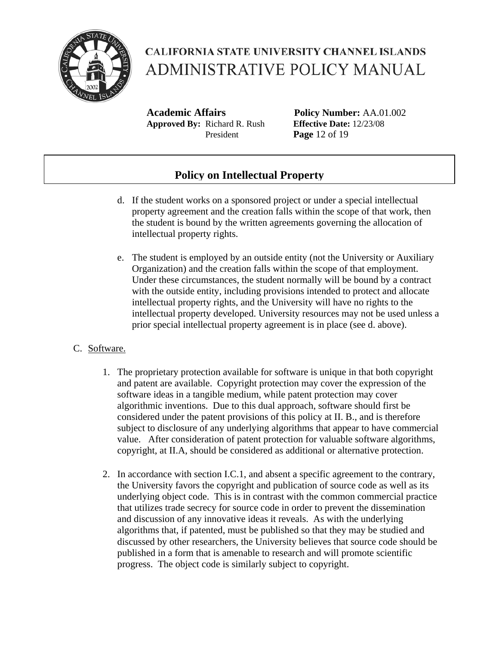

**Academic Affairs Policy Number:** AA.01.002 **Approved By:** Richard R. Rush **Effective Date:** 12/23/08 President **Page** 12 of 19

### **Policy on Intellectual Property**

- d. If the student works on a sponsored project or under a special intellectual property agreement and the creation falls within the scope of that work, then the student is bound by the written agreements governing the allocation of intellectual property rights.
- e. The student is employed by an outside entity (not the University or Auxiliary Organization) and the creation falls within the scope of that employment. Under these circumstances, the student normally will be bound by a contract with the outside entity, including provisions intended to protect and allocate intellectual property rights, and the University will have no rights to the intellectual property developed. University resources may not be used unless a prior special intellectual property agreement is in place (see d. above).

#### C. Software.

- 1. The proprietary protection available for software is unique in that both copyright and patent are available. Copyright protection may cover the expression of the software ideas in a tangible medium, while patent protection may cover algorithmic inventions. Due to this dual approach, software should first be considered under the patent provisions of this policy at II. B., and is therefore subject to disclosure of any underlying algorithms that appear to have commercial value. After consideration of patent protection for valuable software algorithms, copyright, at II.A, should be considered as additional or alternative protection.
- 2. In accordance with section I.C.1, and absent a specific agreement to the contrary, the University favors the copyright and publication of source code as well as its underlying object code. This is in contrast with the common commercial practice that utilizes trade secrecy for source code in order to prevent the dissemination and discussion of any innovative ideas it reveals. As with the underlying algorithms that, if patented, must be published so that they may be studied and discussed by other researchers, the University believes that source code should be published in a form that is amenable to research and will promote scientific progress. The object code is similarly subject to copyright.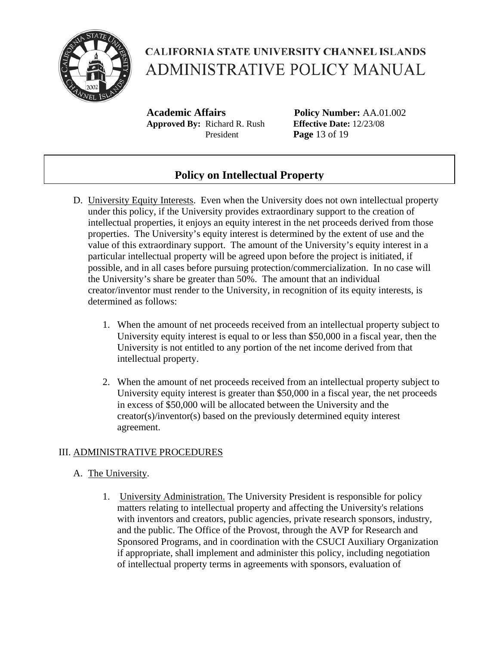

**Academic Affairs Policy Number:** AA.01.002 **Approved By:** Richard R. Rush **Effective Date:** 12/23/08 President **Page** 13 of 19

### **Policy on Intellectual Property**

- D. University Equity Interests. Even when the University does not own intellectual property under this policy, if the University provides extraordinary support to the creation of intellectual properties, it enjoys an equity interest in the net proceeds derived from those properties. The University's equity interest is determined by the extent of use and the value of this extraordinary support. The amount of the University's equity interest in a particular intellectual property will be agreed upon before the project is initiated, if possible, and in all cases before pursuing protection/commercialization. In no case will the University's share be greater than 50%. The amount that an individual creator/inventor must render to the University, in recognition of its equity interests, is determined as follows:
	- 1. When the amount of net proceeds received from an intellectual property subject to University equity interest is equal to or less than \$50,000 in a fiscal year, then the University is not entitled to any portion of the net income derived from that intellectual property.
	- 2. When the amount of net proceeds received from an intellectual property subject to University equity interest is greater than \$50,000 in a fiscal year, the net proceeds in excess of \$50,000 will be allocated between the University and the creator(s)/inventor(s) based on the previously determined equity interest agreement.

#### III. ADMINISTRATIVE PROCEDURES

#### A. The University.

1. University Administration. The University President is responsible for policy matters relating to intellectual property and affecting the University's relations with inventors and creators, public agencies, private research sponsors, industry, and the public. The Office of the Provost, through the AVP for Research and Sponsored Programs, and in coordination with the CSUCI Auxiliary Organization if appropriate, shall implement and administer this policy, including negotiation of intellectual property terms in agreements with sponsors, evaluation of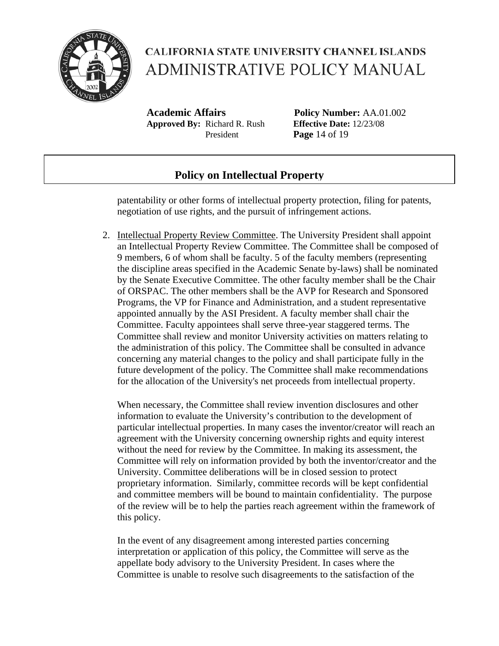

**Academic Affairs Policy Number:** AA.01.002 **Approved By:** Richard R. Rush **Effective Date:** 12/23/08 President **Page** 14 of 19

#### **Policy on Intellectual Property**

patentability or other forms of intellectual property protection, filing for patents, negotiation of use rights, and the pursuit of infringement actions.

2. Intellectual Property Review Committee. The University President shall appoint an Intellectual Property Review Committee. The Committee shall be composed of 9 members, 6 of whom shall be faculty. 5 of the faculty members (representing the discipline areas specified in the Academic Senate by-laws) shall be nominated by the Senate Executive Committee. The other faculty member shall be the Chair of ORSPAC. The other members shall be the AVP for Research and Sponsored Programs, the VP for Finance and Administration, and a student representative appointed annually by the ASI President. A faculty member shall chair the Committee. Faculty appointees shall serve three-year staggered terms. The Committee shall review and monitor University activities on matters relating to the administration of this policy. The Committee shall be consulted in advance concerning any material changes to the policy and shall participate fully in the future development of the policy. The Committee shall make recommendations for the allocation of the University's net proceeds from intellectual property.

When necessary, the Committee shall review invention disclosures and other information to evaluate the University's contribution to the development of particular intellectual properties. In many cases the inventor/creator will reach an agreement with the University concerning ownership rights and equity interest without the need for review by the Committee. In making its assessment, the Committee will rely on information provided by both the inventor/creator and the University. Committee deliberations will be in closed session to protect proprietary information. Similarly, committee records will be kept confidential and committee members will be bound to maintain confidentiality. The purpose of the review will be to help the parties reach agreement within the framework of this policy.

In the event of any disagreement among interested parties concerning interpretation or application of this policy, the Committee will serve as the appellate body advisory to the University President. In cases where the Committee is unable to resolve such disagreements to the satisfaction of the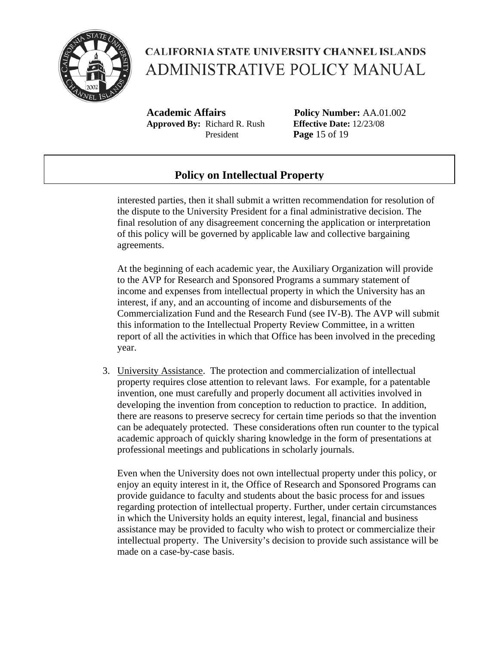

**Academic Affairs Policy Number:** AA.01.002 **Approved By:** Richard R. Rush **Effective Date:** 12/23/08 President **Page** 15 of 19

### **Policy on Intellectual Property**

interested parties, then it shall submit a written recommendation for resolution of the dispute to the University President for a final administrative decision. The final resolution of any disagreement concerning the application or interpretation of this policy will be governed by applicable law and collective bargaining agreements.

At the beginning of each academic year, the Auxiliary Organization will provide to the AVP for Research and Sponsored Programs a summary statement of income and expenses from intellectual property in which the University has an interest, if any, and an accounting of income and disbursements of the Commercialization Fund and the Research Fund (see IV-B). The AVP will submit this information to the Intellectual Property Review Committee, in a written report of all the activities in which that Office has been involved in the preceding year.

3. University Assistance. The protection and commercialization of intellectual property requires close attention to relevant laws. For example, for a patentable invention, one must carefully and properly document all activities involved in developing the invention from conception to reduction to practice. In addition, there are reasons to preserve secrecy for certain time periods so that the invention can be adequately protected. These considerations often run counter to the typical academic approach of quickly sharing knowledge in the form of presentations at professional meetings and publications in scholarly journals.

Even when the University does not own intellectual property under this policy, or enjoy an equity interest in it, the Office of Research and Sponsored Programs can provide guidance to faculty and students about the basic process for and issues regarding protection of intellectual property. Further, under certain circumstances in which the University holds an equity interest, legal, financial and business assistance may be provided to faculty who wish to protect or commercialize their intellectual property. The University's decision to provide such assistance will be made on a case-by-case basis.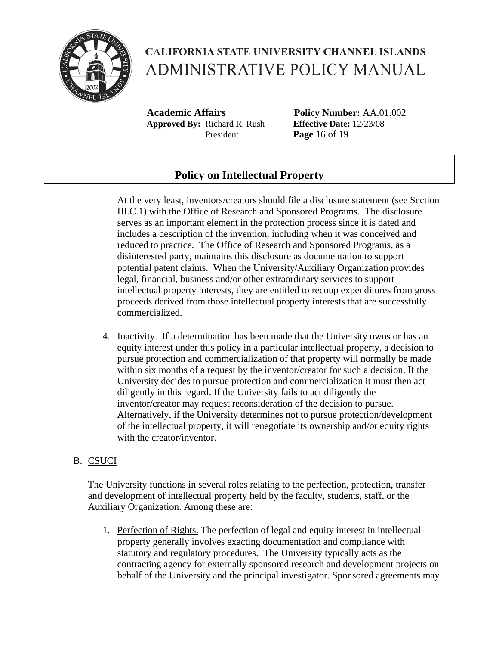

**Academic Affairs Policy Number:** AA.01.002 **Approved By:** Richard R. Rush **Effective Date:** 12/23/08 President **Page** 16 of 19

### **Policy on Intellectual Property**

At the very least, inventors/creators should file a disclosure statement (see Section III.C.1) with the Office of Research and Sponsored Programs. The disclosure serves as an important element in the protection process since it is dated and includes a description of the invention, including when it was conceived and reduced to practice. The Office of Research and Sponsored Programs, as a disinterested party, maintains this disclosure as documentation to support potential patent claims. When the University/Auxiliary Organization provides legal, financial, business and/or other extraordinary services to support intellectual property interests, they are entitled to recoup expenditures from gross proceeds derived from those intellectual property interests that are successfully commercialized.

4. Inactivity. If a determination has been made that the University owns or has an equity interest under this policy in a particular intellectual property, a decision to pursue protection and commercialization of that property will normally be made within six months of a request by the inventor/creator for such a decision. If the University decides to pursue protection and commercialization it must then act diligently in this regard. If the University fails to act diligently the inventor/creator may request reconsideration of the decision to pursue. Alternatively, if the University determines not to pursue protection/development of the intellectual property, it will renegotiate its ownership and/or equity rights with the creator/inventor.

#### B. CSUCI

The University functions in several roles relating to the perfection, protection, transfer and development of intellectual property held by the faculty, students, staff, or the Auxiliary Organization. Among these are:

1. Perfection of Rights. The perfection of legal and equity interest in intellectual property generally involves exacting documentation and compliance with statutory and regulatory procedures. The University typically acts as the contracting agency for externally sponsored research and development projects on behalf of the University and the principal investigator. Sponsored agreements may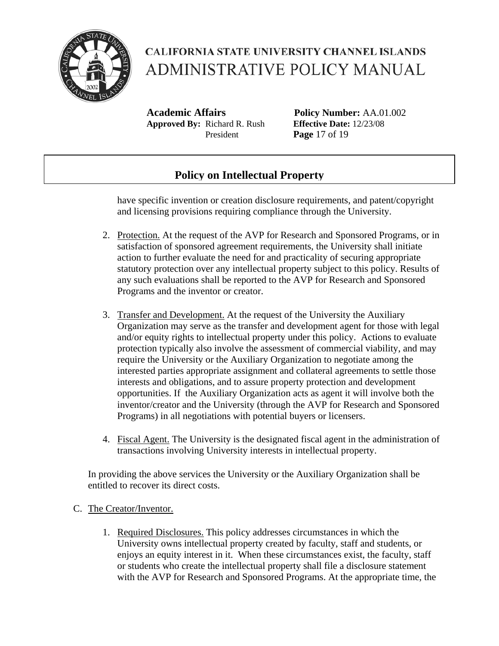

**Academic Affairs Policy Number:** AA.01.002 **Approved By:** Richard R. Rush **Effective Date:** 12/23/08 President **Page** 17 of 19

### **Policy on Intellectual Property**

have specific invention or creation disclosure requirements, and patent/copyright and licensing provisions requiring compliance through the University.

- 2. Protection. At the request of the AVP for Research and Sponsored Programs, or in satisfaction of sponsored agreement requirements, the University shall initiate action to further evaluate the need for and practicality of securing appropriate statutory protection over any intellectual property subject to this policy. Results of any such evaluations shall be reported to the AVP for Research and Sponsored Programs and the inventor or creator.
- 3. Transfer and Development. At the request of the University the Auxiliary Organization may serve as the transfer and development agent for those with legal and/or equity rights to intellectual property under this policy. Actions to evaluate protection typically also involve the assessment of commercial viability, and may require the University or the Auxiliary Organization to negotiate among the interested parties appropriate assignment and collateral agreements to settle those interests and obligations, and to assure property protection and development opportunities. If the Auxiliary Organization acts as agent it will involve both the inventor/creator and the University (through the AVP for Research and Sponsored Programs) in all negotiations with potential buyers or licensers.
- 4. Fiscal Agent. The University is the designated fiscal agent in the administration of transactions involving University interests in intellectual property.

In providing the above services the University or the Auxiliary Organization shall be entitled to recover its direct costs.

#### C. The Creator/Inventor.

1. Required Disclosures. This policy addresses circumstances in which the University owns intellectual property created by faculty, staff and students, or enjoys an equity interest in it. When these circumstances exist, the faculty, staff or students who create the intellectual property shall file a disclosure statement with the AVP for Research and Sponsored Programs. At the appropriate time, the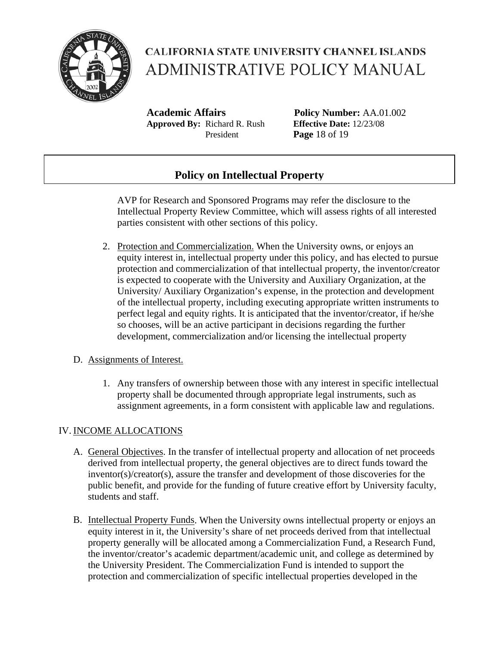

**Academic Affairs Policy Number:** AA.01.002 **Approved By:** Richard R. Rush **Effective Date:** 12/23/08 President **Page** 18 of 19

### **Policy on Intellectual Property**

AVP for Research and Sponsored Programs may refer the disclosure to the Intellectual Property Review Committee, which will assess rights of all interested parties consistent with other sections of this policy.

2. Protection and Commercialization. When the University owns, or enjoys an equity interest in, intellectual property under this policy, and has elected to pursue protection and commercialization of that intellectual property, the inventor/creator is expected to cooperate with the University and Auxiliary Organization, at the University/ Auxiliary Organization's expense, in the protection and development of the intellectual property, including executing appropriate written instruments to perfect legal and equity rights. It is anticipated that the inventor/creator, if he/she so chooses, will be an active participant in decisions regarding the further development, commercialization and/or licensing the intellectual property

#### D. Assignments of Interest.

1. Any transfers of ownership between those with any interest in specific intellectual property shall be documented through appropriate legal instruments, such as assignment agreements, in a form consistent with applicable law and regulations.

#### IV. INCOME ALLOCATIONS

- A. General Objectives. In the transfer of intellectual property and allocation of net proceeds derived from intellectual property, the general objectives are to direct funds toward the inventor(s)/creator(s), assure the transfer and development of those discoveries for the public benefit, and provide for the funding of future creative effort by University faculty, students and staff.
- B. Intellectual Property Funds. When the University owns intellectual property or enjoys an equity interest in it, the University's share of net proceeds derived from that intellectual property generally will be allocated among a Commercialization Fund, a Research Fund, the inventor/creator's academic department/academic unit, and college as determined by the University President. The Commercialization Fund is intended to support the protection and commercialization of specific intellectual properties developed in the